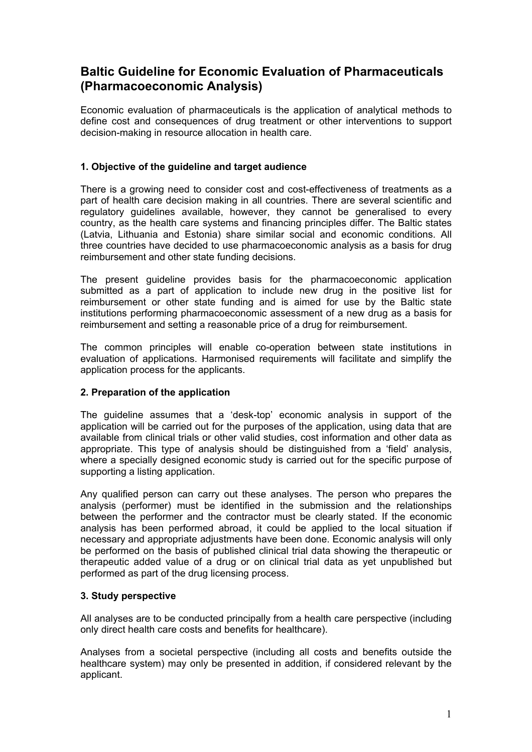# **Baltic Guideline for Economic Evaluation of Pharmaceuticals (Pharmacoeconomic Analysis)**

Economic evaluation of pharmaceuticals is the application of analytical methods to define cost and consequences of drug treatment or other interventions to support decision-making in resource allocation in health care.

# **1. Objective of the guideline and target audience**

There is a growing need to consider cost and cost-effectiveness of treatments as a part of health care decision making in all countries. There are several scientific and regulatory guidelines available, however, they cannot be generalised to every country, as the health care systems and financing principles differ. The Baltic states (Latvia, Lithuania and Estonia) share similar social and economic conditions. All three countries have decided to use pharmacoeconomic analysis as a basis for drug reimbursement and other state funding decisions.

The present guideline provides basis for the pharmacoeconomic application submitted as a part of application to include new drug in the positive list for reimbursement or other state funding and is aimed for use by the Baltic state institutions performing pharmacoeconomic assessment of a new drug as a basis for reimbursement and setting a reasonable price of a drug for reimbursement.

The common principles will enable co-operation between state institutions in evaluation of applications. Harmonised requirements will facilitate and simplify the application process for the applicants.

## **2. Preparation of the application**

The guideline assumes that a 'desk-top' economic analysis in support of the application will be carried out for the purposes of the application, using data that are available from clinical trials or other valid studies, cost information and other data as appropriate. This type of analysis should be distinguished from a 'field' analysis, where a specially designed economic study is carried out for the specific purpose of supporting a listing application.

Any qualified person can carry out these analyses. The person who prepares the analysis (performer) must be identified in the submission and the relationships between the performer and the contractor must be clearly stated. If the economic analysis has been performed abroad, it could be applied to the local situation if necessary and appropriate adjustments have been done. Economic analysis will only be performed on the basis of published clinical trial data showing the therapeutic or therapeutic added value of a drug or on clinical trial data as yet unpublished but performed as part of the drug licensing process.

## **3. Study perspective**

All analyses are to be conducted principally from a health care perspective (including only direct health care costs and benefits for healthcare).

Analyses from a societal perspective (including all costs and benefits outside the healthcare system) may only be presented in addition, if considered relevant by the applicant.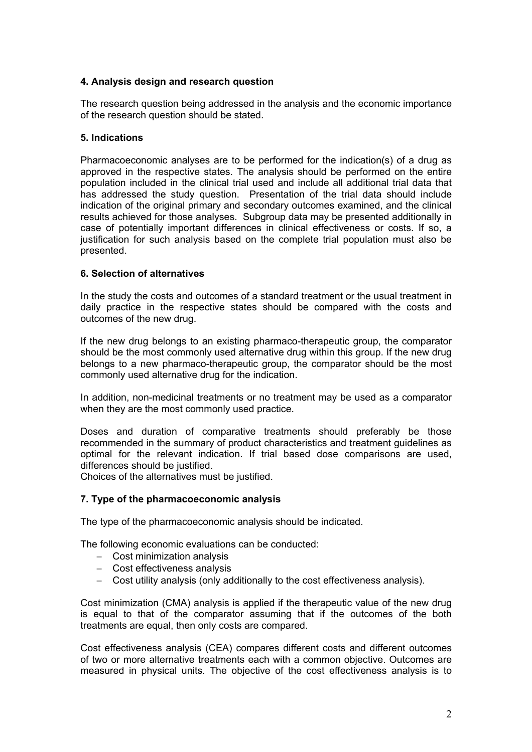# **4. Analysis design and research question**

The research question being addressed in the analysis and the economic importance of the research question should be stated.

## **5. Indications**

Pharmacoeconomic analyses are to be performed for the indication(s) of a drug as approved in the respective states. The analysis should be performed on the entire population included in the clinical trial used and include all additional trial data that has addressed the study question. Presentation of the trial data should include indication of the original primary and secondary outcomes examined, and the clinical results achieved for those analyses. Subgroup data may be presented additionally in case of potentially important differences in clinical effectiveness or costs. If so, a justification for such analysis based on the complete trial population must also be presented.

## **6. Selection of alternatives**

In the study the costs and outcomes of a standard treatment or the usual treatment in daily practice in the respective states should be compared with the costs and outcomes of the new drug.

If the new drug belongs to an existing pharmaco-therapeutic group, the comparator should be the most commonly used alternative drug within this group. If the new drug belongs to a new pharmaco-therapeutic group, the comparator should be the most commonly used alternative drug for the indication.

In addition, non-medicinal treatments or no treatment may be used as a comparator when they are the most commonly used practice.

Doses and duration of comparative treatments should preferably be those recommended in the summary of product characteristics and treatment guidelines as optimal for the relevant indication. If trial based dose comparisons are used, differences should be justified.

Choices of the alternatives must be justified.

## **7. Type of the pharmacoeconomic analysis**

The type of the pharmacoeconomic analysis should be indicated.

The following economic evaluations can be conducted:

- − Cost minimization analysis
- − Cost effectiveness analysis
- − Cost utility analysis (only additionally to the cost effectiveness analysis).

Cost minimization (CMA) analysis is applied if the therapeutic value of the new drug is equal to that of the comparator assuming that if the outcomes of the both treatments are equal, then only costs are compared.

Cost effectiveness analysis (CEA) compares different costs and different outcomes of two or more alternative treatments each with a common objective. Outcomes are measured in physical units. The objective of the cost effectiveness analysis is to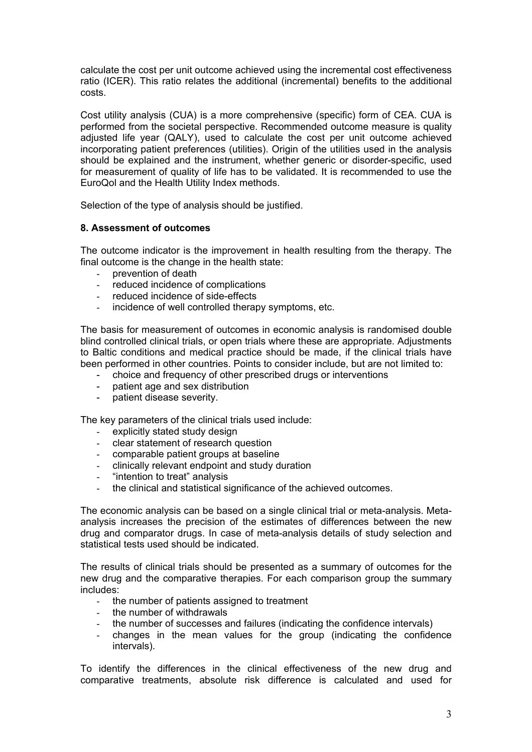calculate the cost per unit outcome achieved using the incremental cost effectiveness ratio (ICER). This ratio relates the additional (incremental) benefits to the additional costs.

Cost utility analysis (CUA) is a more comprehensive (specific) form of CEA. CUA is performed from the societal perspective. Recommended outcome measure is quality adjusted life year (QALY), used to calculate the cost per unit outcome achieved incorporating patient preferences (utilities). Origin of the utilities used in the analysis should be explained and the instrument, whether generic or disorder-specific, used for measurement of quality of life has to be validated. It is recommended to use the EuroQol and the Health Utility Index methods.

Selection of the type of analysis should be justified.

## **8. Assessment of outcomes**

The outcome indicator is the improvement in health resulting from the therapy. The final outcome is the change in the health state:

- prevention of death
- reduced incidence of complications
- reduced incidence of side-effects
- incidence of well controlled therapy symptoms, etc.

The basis for measurement of outcomes in economic analysis is randomised double blind controlled clinical trials, or open trials where these are appropriate. Adjustments to Baltic conditions and medical practice should be made, if the clinical trials have been performed in other countries. Points to consider include, but are not limited to:

- choice and frequency of other prescribed drugs or interventions
- patient age and sex distribution
- patient disease severity.

The key parameters of the clinical trials used include:

- explicitly stated study design
- clear statement of research question
- comparable patient groups at baseline<br>- clinically relevant endpoint and study d
- clinically relevant endpoint and study duration
- "intention to treat" analysis
- the clinical and statistical significance of the achieved outcomes.

The economic analysis can be based on a single clinical trial or meta-analysis. Metaanalysis increases the precision of the estimates of differences between the new drug and comparator drugs. In case of meta-analysis details of study selection and statistical tests used should be indicated.

The results of clinical trials should be presented as a summary of outcomes for the new drug and the comparative therapies. For each comparison group the summary includes:

- the number of patients assigned to treatment
- the number of withdrawals
- the number of successes and failures (indicating the confidence intervals)
- changes in the mean values for the group (indicating the confidence intervals).

To identify the differences in the clinical effectiveness of the new drug and comparative treatments, absolute risk difference is calculated and used for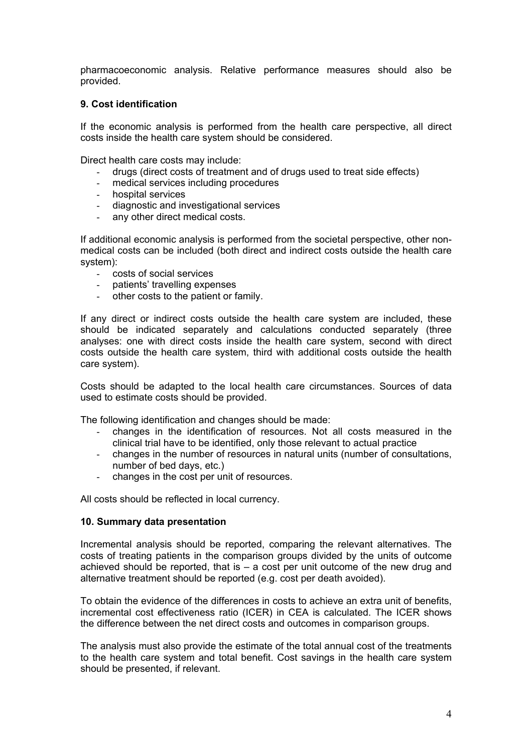pharmacoeconomic analysis. Relative performance measures should also be provided.

#### **9. Cost identification**

If the economic analysis is performed from the health care perspective, all direct costs inside the health care system should be considered.

Direct health care costs may include:

- drugs (direct costs of treatment and of drugs used to treat side effects)
- medical services including procedures
- hospital services
- diagnostic and investigational services
- any other direct medical costs.

If additional economic analysis is performed from the societal perspective, other nonmedical costs can be included (both direct and indirect costs outside the health care system):

- costs of social services
- patients' travelling expenses
- other costs to the patient or family.

If any direct or indirect costs outside the health care system are included, these should be indicated separately and calculations conducted separately (three analyses: one with direct costs inside the health care system, second with direct costs outside the health care system, third with additional costs outside the health care system).

Costs should be adapted to the local health care circumstances. Sources of data used to estimate costs should be provided.

The following identification and changes should be made:

- changes in the identification of resources. Not all costs measured in the clinical trial have to be identified, only those relevant to actual practice
- changes in the number of resources in natural units (number of consultations, number of bed days, etc.)
- changes in the cost per unit of resources.

All costs should be reflected in local currency.

#### **10. Summary data presentation**

Incremental analysis should be reported, comparing the relevant alternatives. The costs of treating patients in the comparison groups divided by the units of outcome achieved should be reported, that is  $-$  a cost per unit outcome of the new drug and alternative treatment should be reported (e.g. cost per death avoided).

To obtain the evidence of the differences in costs to achieve an extra unit of benefits, incremental cost effectiveness ratio (ICER) in CEA is calculated. The ICER shows the difference between the net direct costs and outcomes in comparison groups.

The analysis must also provide the estimate of the total annual cost of the treatments to the health care system and total benefit. Cost savings in the health care system should be presented, if relevant.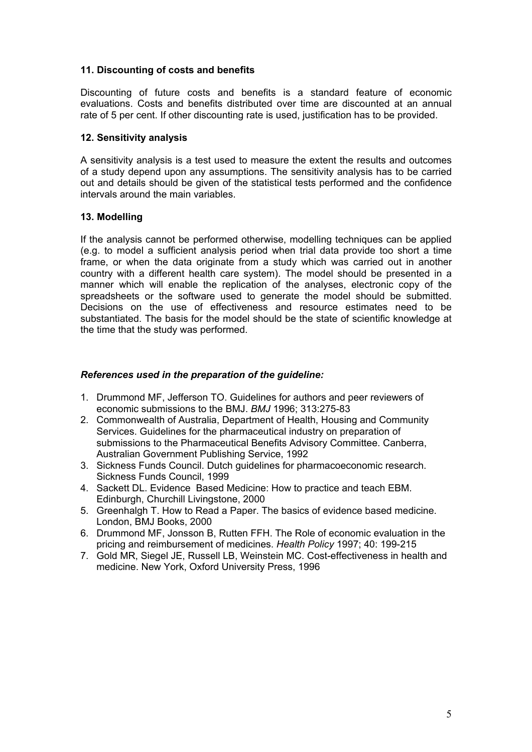## **11. Discounting of costs and benefits**

Discounting of future costs and benefits is a standard feature of economic evaluations. Costs and benefits distributed over time are discounted at an annual rate of 5 per cent. If other discounting rate is used, justification has to be provided.

#### **12. Sensitivity analysis**

A sensitivity analysis is a test used to measure the extent the results and outcomes of a study depend upon any assumptions. The sensitivity analysis has to be carried out and details should be given of the statistical tests performed and the confidence intervals around the main variables.

#### **13. Modelling**

If the analysis cannot be performed otherwise, modelling techniques can be applied (e.g. to model a sufficient analysis period when trial data provide too short a time frame, or when the data originate from a study which was carried out in another country with a different health care system). The model should be presented in a manner which will enable the replication of the analyses, electronic copy of the spreadsheets or the software used to generate the model should be submitted. Decisions on the use of effectiveness and resource estimates need to be substantiated. The basis for the model should be the state of scientific knowledge at the time that the study was performed.

#### *References used in the preparation of the guideline:*

- 1. Drummond MF, Jefferson TO. Guidelines for authors and peer reviewers of economic submissions to the BMJ. *BMJ* 1996; 313:275-83
- 2. Commonwealth of Australia, Department of Health, Housing and Community Services. Guidelines for the pharmaceutical industry on preparation of submissions to the Pharmaceutical Benefits Advisory Committee. Canberra, Australian Government Publishing Service, 1992
- 3. Sickness Funds Council. Dutch guidelines for pharmacoeconomic research. Sickness Funds Council, 1999
- 4. Sackett DL. Evidence Based Medicine: How to practice and teach EBM. Edinburgh, Churchill Livingstone, 2000
- 5. Greenhalgh T. How to Read a Paper. The basics of evidence based medicine. London, BMJ Books, 2000
- 6. Drummond MF, Jonsson B, Rutten FFH. The Role of economic evaluation in the pricing and reimbursement of medicines. *Health Policy* 1997; 40: 199-215
- 7. Gold MR, Siegel JE, Russell LB, Weinstein MC. Cost-effectiveness in health and medicine. New York, Oxford University Press, 1996